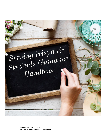# Serving Hispanic<br>Students Guidance  $H and book$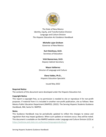

The State of New Mexico Identity, Equity, and Transformation Division Language and Culture Division *The Hispanic Education Act Guidance Handbook*

> **Michelle Lujan Grisham** Governor of New Mexico

**Kurt Steinhaus, Ed.D.** Secretary of Education

**Vicki Bannerman, Ed.D.** Deputy Cabinet Secretary

**Mayra Valtierrez** Director of Language and Culture

#### **Elena Valdez, Ph.D.,**

Hispanic Education Specialist

Issued May 2022

#### **Required Notice**

The contents of this document were developed under the Hispanic Education Act.

#### **Copyright Notice**

This report is copyright free, so no permission is needed to cite or reproduce it for non-profit purposes. If material from it is included in another non-profit publication, cite as follows: New Mexico Public Education Department (NMPED). (2022). The Serving Hispanic Students Guidance Handbook, NM, Santa Fe: NMPED.

#### **Notes**

This Guidance Handbook may be periodically updated to reflect the changes to statue and regulation that may impact guidance. When such updates or revisions occur, they will be noted. This document is available on the NMPED website under Language and Culture Division (LCD) at [https://webnew.ped.state.nm.us/bureaus/languageandculture/.](https://webnew.ped.state.nm.us/bureaus/languageandculture/)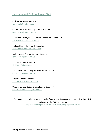## <span id="page-2-0"></span>Language and Culture Bureau Staff

Carlos Avila, BMEP Specialist carlos.avila@state.nm.us

Catalina Block, Business Operations Specialist catalina.block@state.nm.us

Kadriye El-Atwani, Ph.D., Multicultural Education Specialist kadriye.el-atwani@state.nm.us

Melissa Hernandez, Title III Specialist melissa.hernandez2@state.nm.us

Leah Jimenez, Program Support Specialist leah.jimenez@state.nm.us

Kirsi Laine, Deputy Director kirsi.laine@state.nm.us

Elena Valdez, Ph.D., Hispanic Education Specialist elena.valdez@state.nm.us

#### Mayra Valtierrez, Director mayra.valtierrez@state.nm.us

Vanessa Vander Galien, English Learner Specialist vanessa.vandergalien@state.nm.us

This manual, and other resources, can be found on the Language and Culture Division's (LCD) webpage on the PED's website at: <https://webnew.ped.state.nm.us/bureaus/languageandculture/>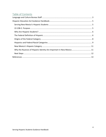# **Table of Contents**

<span id="page-3-0"></span>

| Why the Nuances of Hispanic Identity Are Important in New Mexico 11 |  |
|---------------------------------------------------------------------|--|
|                                                                     |  |
|                                                                     |  |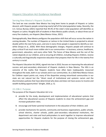## Hispanic Education Act Guidance Handbook

#### <span id="page-4-0"></span>Serving New Mexico's Hispanic Students

The land we now consider New Mexico has long been home to people of Hispanic or Latino descent, with Hispanic people comprising nearly half of the total population today. Recently, the U.S. Census Bureau (2021) reported that 49.3% of the state's total population self-identifies as Hispanic or Latino. Roughly 62% of students in New Mexico public schools, or about three out of every five students, are Hispanic (New Mexico Vistas, 2021).

Demographically, New Mexico prefigures the population shift that will occur across the nation in coming decades. The number of Hispanics or Latinos in the United States is projected to almost double within the next forty years, and one in every three people is expected to identify as nonwhite (Vespa et al., 2020). With these demographic changes, Hispanic people will continue to play a critical if not much more visible role in our communities—in business, science, healthcare, government, education, and every other field. The future of New Mexico and the rest of the nation depends on our children, and so ensuring all children, including Hispanic children, receive a culturally and linguistically responsive education that prepares them for life in the twenty-first century is crucial.

The Hispanic Education Act (HEA), signed into law in 2010, focuses on improving the educational success and post-secondary attainment of Hispanic students in New Mexico. The HEA is an outcome of the reality that Hispanic students have often been inadequately resourced throughout the state, both in our schools and in our communities. As a 2020 New Mexico Voices for Children report points out, many of the disparities among minoritized communities in our state are not natural but the "direct result of institutional and systemic racism and the discriminatory policies that have determined who does and does not have access to income and wealth-building opportunities" (Knight, 2020, p. 5).

#### <span id="page-4-1"></span>22-23B-2. Purpose

The purpose of the Hispanic Education Act is to:

- A. provide for the study, development and implementation of educational systems that affect the educational success of Hispanic students to close the achievement gap and increase graduation rates;
- B. encourage and foster parental involvement in the education of their children; and
- C. provide mechanisms for parents, community and business organizations, public schools, school districts, charter schools, public post-secondary educational institutions, the department and state and local policymakers to work together to improve educational opportunities for Hispanic students for the purpose of closing the achievement gap,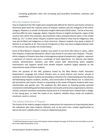increasing graduation rates and increasing post-secondary enrollment, retention and completion.

#### <span id="page-5-0"></span>Who Are Hispanic Students?

How to implement the HEA might seem exceptionally difficult for districts and charter schools to determine given both the majority status of Hispanic students and the ambiguity of the ethnic category. Hispanics, as scholar of education Angela Valenzuela (2016) states, "can be of any race, and they differ by class, language, dialect, linguistic fluency in English and Spanish, region of the country from which they emanate, documentation status and generational status in the United States (p. 17)." In other words, Hispanic students may be Black or they may be Indigenous; they may also be Black and Indigenous or Asian American. Hispanic students may speak a dialect of Spanish or no Spanish at all. They may be immigrants or they may have multigenerational roots in the land we now consider the United States.

Some of New Mexico's Hispanic students may prefer to use terms like Latina or Latino, rather than Hispanic, to describe themselves. Others may choose to use Latinx over Hispanic.<sup>[1](#page-5-2)</sup> The panethnic category of Hispanic describes a heterogeneous group of people who, together, represent a spectrum of cultures and carry a multitude of lived experiences. For districts and charter schools, administrators, teachers, and other school staff, determining which targeted interventions and supports would most benefit Hispanic students largely depends on the intersectional needs of these students.

Given the purpose of the HEA, guidance issued by the New Mexico Public Education Department's Language and Culture Division aims to assist districts and charter schools in working to serve Hispanic students by providing a critical lens for understanding just how diverse self-identifying Hispanic students, families, and communities of New Mexico are. A critical lens will aid districts and charter schools in responding to the needs of Hispanic students with more intentionality and specific care. The emphasis the HEA places on fostering greater parental involvement and building partnerships between community and business organizations, districts, schools, and post-secondary institutions should serve as a reminder that it indeed takes a village, as the saying goes, to meet the needs of our students, whether those needs are academic, emotional, social or cultural.

#### <span id="page-5-1"></span>The Federal Definition of Hispanic

The history of the federal category Hispanic underscores the importance of acquiring data about the individuals who claim Hispanic ethnicity, and, at the same time, creates opportunities to discuss the term's pitfalls when it comes to implementing policy.

<span id="page-5-2"></span> $1$  A 2020 Pew Research report states that Hispanic women between the ages of 18-29 are the most likely to use the term Latinx (Noe-Bustamante, et al).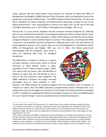Today, agencies like the United States Census Bureau are required to follow the Office of Management and Budget's (OMB) Statistical Policy Directives, which are designed to ensure the quality and consistency of federal data. The OMB's Statistical Policy Directive No. 15, Race and Ethnic Standards for Federal Statistics and Administrative Reporting, emerged as part of the federal government's "new responsibilities to enforce civil rights laws" by the end of the long Civil Rights Movement era, in 1977 (Office of Management and Budget, 1997, p. 2).

Directive No. 15, since revised, stipulates that the minimum standard categories for collecting data on race and ethnicity include five racial categories (American Indian or Alaska Native, Asian, Black or African American, Native Hawaiian or Other Pacific Islander, and White) and two ethnic categories (Hispanic or Latino and Not Hispanic or Latino).<sup>[2](#page-6-0)</sup> The categories, according to the OMB, "represent a social-political construct designed for collecting data on the race and ethnicity of broad population groups in this country and are not anthropologically or scientifically based" (Office of Management and Budget, 1997, pp. 2-3). In effect, the federal government

acknowledges that the categories upon which it relies for collecting data have no biological foundations.

The OMB defines a Hispanic or Latino as "a person of Cuban, Mexican, Puerto Rican, South or Central American, or other Spanish culture or origin, regardless of race" ("About Hispanic Origin," 2022). This means that any person who self-identifies as Hispanic or Latino may also self-identify as one or more of the five minimum racial categories. The OMB's definition of Hispanic has largely remained unchanged since its initial adoption in 1977.



However, the OMB changed the standard category from the standalone term of Hispanic to "Hispanic or Latino" after the OMB conducted a comprehensive review of Directive No. 15 in collaboration with the Interagency Committee for the Review of the Racial and Ethnic Standards in 1997.<sup>[3](#page-6-1)</sup> In addition to modifying the official terminology to Hispanic or Latino, the OMB decided the use of "Spanish Origin" is also an acceptable means of describing Hispanics.

<span id="page-6-0"></span><sup>&</sup>lt;sup>2</sup> On the topic of the original 1977 Directive No. 15, scholars Silvio Torres-Saillant and Nancy Kang (2017) posit, "U.S. Hispanics thus became an 'ethnicity' as opposed to other four subdivisions that consisted of 'races' in the original taxonomy that the U.S. Census Bureau would recognize. Yet, one wonders how Asian Americans can constitute a single 'race' given that the configuration of ancestries and phenotypes in their midst appears at least equally diverse" (p. 175).

<span id="page-6-1"></span><sup>&</sup>lt;sup>3</sup> The review conducted by the OMB in collaboration with the Interagency Committee was prompted by criticism that the minimum categories previously used by the federal government did not reflect the heterogeneity of the United States. Other revisions to the former standard categories included breaking the Asian or Pacific Islander category into two categories—one titled "Asian" and the other "Native Hawaiian or Other Pacific Islander." The separation of these two terms expanded the minimum number of racial categories from four categories to five.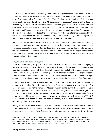The U.S. Department of Education (ED) published its own guidance for educational institutions and other ED grant recipients on collecting, maintaining, and aggregating the racial and ethnic data of students and staff in 2007. The ED's "Final Guidance on Maintaining, Collecting, and Reporting Racial and Ethnic Data to the U.S Department of Education" aligns with the decisions reached by the OMB. Educational institutions and other grant recipients must use a two-part question to collect data on race and ethnicity. The first part of the question should ask about the student or staff person's ethnicity, that is, whether they are Hispanic or Latino. The second part should ask respondents to indicate their race or races from the five categories recognized by the OMB. The ED also specifies that, at the elementary and secondary level, parents and guardians should identify their student's race and ethnicity instead of the student.

District and charter school personnel may be aware of the federal requirements for collecting, maintaining, and reporting data on race and ethnicity, but the conditions that initiated these processes, especially as they pertain to Hispanics, are probably less familiar to folks working in the field of education. The following section provides a brief history on the origins of the federal category Hispanic, which should elucidate how the term came to represent an extremely diverse population in the United States.

#### <span id="page-7-0"></span>Origins of the Federal Category

Statistics shape policy, but policy also shapes statistics. The origin of the federal category of Hispanic is a case in point. There was no standard method for collecting, maintaining, and reporting data about people of Hispanic or Latino descent on behalf of the federal government prior to the Civil Rights era. For years, people of Mexican descent—the largest Hispanic population in the nation—were considered white by U.S. Census enumerators, unless the logics of race that existed at the time otherwise led them to believe the person was of a different race.

The U.S. Census Bureau made one attempt, in 1930, to track the number of people of Mexican descent in the United States by making "Mexican" a racial category. A report from the Pew Research Center suggests the increase in Mexican immigration following the Mexican Revolution (1910-1920) inspired the addition of Mexican as a racial category to the 1930 census (Parker et al., 2016). The addition of the new category coincided with government sanctioned efforts to deport people of Mexican descent, many of whom were citizens of the United States.<sup>[4](#page-7-1)</sup> The U.S. Census Bureau eliminated the Mexican census category in 1940 after leaders in the Hispanic community called for its removal.

During the 1970s, Hispanic leaders and activists demanded data collection methods that would more accurately document the ways people of Hispanic or Latino descent encountered systems of oppression in their daily lives. Requests for an alternate category that would draw attention

<span id="page-7-1"></span><sup>4</sup> In 2006, the state of California formally apologized for the nation's campaign to deport people of Mexican descent, recognizing that approximately 2 million people were deported from the United States and more than half the total number of individuals deported were US citizens in SB-670 Mexican repatriation program of the 1930s, also known as the [Apology Act for the 1930s Mexican Repatriation Program.](https://leginfo.legislature.ca.gov/faces/billCompareClient.xhtml?bill_id=200520060SB670&showamends=false)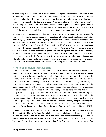to social inequities was largely an outcome of the Civil Rights Movement and increased critical consciousness about systemic racism and oppression in the United States. In 1976, Public Law 94-311 mandated the development of new data collection methods and was passed only after Mexican Americans, Puerto Ricans, and Cuban Americans called on the federal government to collect and publish data about their communities; the law required the federal government to collect and analyze data on people who could "trace their origin or descent from Mexico, Puerto Rico, Cuba, Central and South American, and other Spanish-speaking countries."

At the time, while many activists, policymakers, and other stakeholders recognized the need for a category that would represent people of Hispanic or Latino heritage, they also realized that no single category would fully describe a group of people who descended from various regions with similar but unique colonial histories and whose lives were impacted by factors like racism and poverty in different ways. Sociologist G. Cristina Mora (2014) writes that the backgrounds and concerns of the largest national Hispanic groups (Mexican Americans, Puerto Ricans, and Cubans) varied; they were "so distinct in terms of geography, political agenda, and cultural understanding of race that coming together to identify and organize under a common category could very likely have remained unthinkable" (Mora, 2014, p. 5). For Mora, part of what has made Hispanic panethnicity useful for these different groups of people is its ambiguity. At the same, the ambiguity of the category has elided key differences that exist among people of Hispanic descent.

#### <span id="page-8-0"></span>Hispanics and Federal Racial Categories

Some scholars link the emergence of modern concepts of race to the so-called discovery of the Americas and the rise of global capitalism. By the eighteenth century, race became a codified method for seizing lands and enslaving people, often in the name of empire building and the accumulation of wealth. Referencing the work of Howard Winant (2000) in "The Social Funding of Race: The Role of Schooling," scholar of education Gloria Ladson-Billings (2017) writes, "As nation-states began to participate in a worldwide economy—seaborne empires, conquest of the Americas, and the rise of the Atlantic slave trade—the development of race became a practical project to create an 'Other' whose threat and necessity could be integrated and deployed into every aspect of society (p. 2). In other words, race became a tool that could be used to justify enslavement and the appropriation of lands. Attempts to scientifically classify the world in the eighteenth and nineteenth centuries further refined notions of race, as characteristics like skin color and phenotype were used to stratify groups of people. Ordering people and things and maintaining records about supposedly 'new' species and human cultures according to a logic rooted in Europe became a method of asserting power (Smith, 2012; James and Burgos, 2020).

Though a construct, race continues to have numerous real consequences for people across the United States to this day. Notions of racial difference were upheld and made more salient by the law and thus ensured that power and wealth was maintained by some racialized groups and not others. While historian and activist W.E.B DuBois (1903/1994) stated the "problem of the Twentieth Century is the problem of the color-line," the first two decades of the twenty-first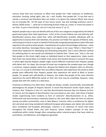century show that race continues to affect how people live—their (in)access to healthcare, education, housing, voting rights, jobs, etc.—and, frankly, how people die. To say that race is merely a construct and therefore does not matter is to ignore the material effects that racism has on everyday life. On the topic of race versus racism, law and sociology professor Laura E. Gómez (2020) writes, "…what we as interacting humans make up, create, or invent has power in our lives. To put it more bluntly: race isn't real, but racism is" (p. 5).

Hispanic people may or may not identify with any of the race categories recognized by the federal government given their lived experiences. Critics of the current federal race and ethnicity selfidentification process have noted that, while self-identification provides individuals with an opportunity to express their own identities, this practice can hinder the capacity of federal, state, and local governments to work on behalf of historically marginalized populations when folks who experience the world as white people—beneficiaries of a system that privileges whiteness—claim non-white identities. Sociologist Nancy López (n.d.) argues in her essay "What is 'Street Race'?: Street Race Explained For Identifying and Eliminating Inequality" that a more effective method for collecting data on race would ask individuals to indicate their "street race," that is, the race that people on the street might assign an individual based on their appearance. López asserts that street race would allow us to better track racism and injustice because it accounts the ways in which light-skinned Hispanic people might receive different treatment than Hispanic people with darker skin. For López, the concept of street race recognizes the complex ways race, though a construct, impacts people's daily lives. Because the federal term Hispanic refers to ethnicity, not race, it is crucial to remember that race affects Hispanics who experience the world as white people quite differently than Hispanic people who experience the world as Black or brown people. For people who self-identify as Hispanic, the reality that people of the same ethnicity experience the world differently based on their skin tone may be unsettling. However, many people deal with this reality on a daily basis.

Proximity to whiteness has often been, though not always, socially, economically, and politically advantageous for people of Hispanic descent. A recent Pew Research Center report states, for instance, that "Hispanics in the U.S. may face discrimination because they are Hispanic (a form of racism), but the degree of discrimination may vary based on skin color, with those of darker shades experiencing more incidents (a form of colorism)" (Noe-Bustamante et al., 2021). Preferential and discriminatory treatment based on skin tone often takes the form of colorism among non-white communities, even in New Mexico. Colorism refers to preference for lighter skin and what were long considered traditional European phenotypes over darker skin and what were considered non-European phenotypes. Colorism is an extension of racism that exists throughout the United States and Latin America, where modern concepts of race were established within similar though often competing settler colonial projects that have relied on assimilation, anti-Blackness, and Indigenous genocide.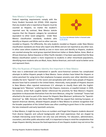#### <span id="page-10-0"></span>New Mexico's Hispanic Category

Federal reporting requirements comply with the Every Student Succeeds Act (ESSA). ESSA requires that any student who is reported as Hispanic must be counted as Hispanic, no matter the student's reported race. By contrast, New Mexico statute requires that the Hispanic category be considered equivalent to other racial categories. Under New Mexico classification standards, students who identify as Hispanic and White and no other race are



[This Photo](https://www.ip-watch.org/2018/12/11/indigenous-knowledge-misappropriation-case-zia-sun-symbol-explained-wipo/) by Unknown Author is licensed under [CC BY-SA-NC](https://creativecommons.org/licenses/by-nc-sa/3.0/)

recoded as Hispanic. Put differently, the only students recoded as Hispanic under New Mexico classification standards are those who report only White and are not reported as any other race. In other cases where students identify as one or more races and identify as Hispanic, students are counted among the racial group reported (American Indian or Alaska Native, Asian, Black or African American, Native Hawaiian or Other Pacific Islander). It has been speculated that the New Mexico classification system is more responsive to students in other minoritized populations, identifying more students who are Black, Asian, Native American, and multi-racial to better serve and represent them.

#### <span id="page-10-1"></span>Why the Nuances of Hispanic Identity Are Important in New Mexico

How race is understood and maintained in specific socio-historical contexts has complicated attempts to define Hispanic people in New Mexico. Some scholars have linked the Hispanic or Latino penchant for using terms that emphasize European ancestry over other identities (most notably the term "Spanish") to the racism and xenophobia with which many people of Hispanic descent have had to contend in the United States. Historically, many people of Hispanic descent in New Mexico often rejected mainstream U.S. attempts to classify them with the Englishlanguage term "Mexican," preferring terms like Hispano, mexicano, or español instead. In 1929, for instance, writer Ruth Laughlin Barker referenced the proclivity for New Mexico's Hispanic population to disassociate themselves from the term Mexican, citing the "contempt" Texans had attached to the word as part of the reason for Hispanic New Mexicans' preference for "Spanish-American" (p. 568). Historian John Nieto-Phillips (2000) has argued that claiming European, or Spanish American identity, allowed Hispanic people in New Mexico to achieve recognition that the broader population of the United States was often unwilling to grant them in the context of the late nineteenth and early twentieth centuries.

In New Mexico, it might be easy to focus on numbers and forget that Hispanic students descend from diverse linguistic and cultural backgrounds with lived experiences that are shaped by multiple intersecting social factors not only race and ethnicity. For educators, administrators, counselors, and other public education staff, it is important to keep in mind the complexities that shape Hispanic identity, because the lived experience of one Hispanic student may not mirror the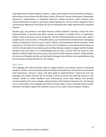lived experiences of other Hispanic students. Today, some students may self-identify as Hispanic, while others may use terms like Afro-latino, Latinx, Chicana or Chicanx, dominicana, Guatemalan American or guatemalteco, or Honduran American, among numerous others, because they convey attachments to place or particular shared experiences. Yet even these categories fail to communicate differences that shape the lives of individuals who might otherwise be considered Hispanic.

Decades ago, law professor and Black feminist scholar Kimberlé Crenshaw coined the term intersectionality to describe how Black women are subject to multiple forms of oppression, neither solely on the basis of race nor gender. The term intersectionality has since been used in academia and, more recently, in the public sphere, as a framework for analyzing how overlapping systems of oppression such as racism, sexism, ableism, and transphobia influence people's lived experiences. For those of us working in service of K-12 students, an intersectional lens allows us to think critically about the complex systems all New Mexican students navigate and the multiple identities they may have; it is a methodology that can help us assess how the needs of some Hispanic students might not be the same as the needs of other Hispanic students. Understanding the nuances of Hispanic identity can help lead to changes that will foster more equitable learning environments and opportunities for our students.

#### <span id="page-11-0"></span>Next Steps

<span id="page-11-1"></span>The Language and Culture Division seeks to support districts and charter schools in educating students, families, and communities about the Hispanic Education Act so that their intersectional lived experiences, concerns, values, and ideas guide its implementation. Toward this end, the Language and Culture Division will be hosting a series of community listening sessions in the coming months to solicit feedback from communities across New Mexico and develop recommendations for more strategic implementation of the Hispanic Education Act. By listening to our communities, the Language and Culture Division hopes to learn how New Mexico public education can better support the academic success of our state's diverse Hispanic students.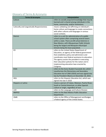# Glossary of Terms & Acronyms

| <b>Terms &amp; Acronyms</b>                         | Interpretation                                                                                                                                                                                                                                                                                                                                            |
|-----------------------------------------------------|-----------------------------------------------------------------------------------------------------------------------------------------------------------------------------------------------------------------------------------------------------------------------------------------------------------------------------------------------------------|
| Culture                                             | refers to socially acquired knowledge that may be<br>learned and is shared among individuals in the<br>home, community, and/or institutions.                                                                                                                                                                                                              |
| <b>Culturally and Linguistically Responsiveness</b> | means validating and affirming an individual's<br>home culture and language to create connections<br>with other cultures and languages in various<br>social contexts.                                                                                                                                                                                     |
| <b>District</b>                                     | refers to a unit for administration of a public<br>school system often comprising several towns<br>within a state. There are 89 school districts in<br>New Mexico, with Albuquerque Public Schools<br>being the largest and Mosquero Municipal<br>Schools being the least populated.                                                                      |
| ED                                                  | refers to the United States Department of<br>Education, an agency of the federal government<br>that establishes policy and administers and<br>coordinates most federal assistance to education.<br>The agency assists the president in executing<br>their education policies for the nation and in<br>implementing education laws enacted by<br>Congress. |
| <b>ESSA</b>                                         | refers to the Every Student Succeeds Act, which<br>reauthorizes the Elementary and Secondary<br>Education Act of 1965 (ESEA) and was signed into<br>law by President Obama on December 10, 2015.                                                                                                                                                          |
| <b>HEA</b>                                          | refers to the Hispanic Education Act, which was<br>signed into law in 2010                                                                                                                                                                                                                                                                                |
| Hispanic or Latino                                  | means a person of Cuban, Mexican, Puerto Rican,<br>South or Central American, or other Spanish<br>culture or origin, regardless of race                                                                                                                                                                                                                   |
| LCD                                                 | refers to the Language and Culture Division                                                                                                                                                                                                                                                                                                               |
| <b>NMPED</b>                                        | refers to the New Mexico Public Education<br>Department                                                                                                                                                                                                                                                                                                   |
| OMB                                                 | refers to the Office of Management and Budget,<br>a federal agency of the United States.                                                                                                                                                                                                                                                                  |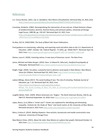### References

- *U.S. Census Bureau. (2021, July 1). Quickfacts: New Mexico [Visualization]. Retrieved May 19, 2022, from [https://www.census.gov/quickfacts/fact/dashboard/NM/PST045221#PST045221.](https://www.census.gov/quickfacts/fact/dashboard/NM/PST045221#PST045221)*
- Crenshaw, Kimberle. (1982). Demarginalizing the intersection of race and sex: A black feminist critique of antidiscrimination, doctrine, feminist theory and antiracist politics, *University of Chicago Legal Forum*, 1989 (8), pp. 139-167. Retrieved April 22, 2021, from [https://chicagounbound.uchicago.edu/cgi/viewcontent.cgi?article=1052&context=uclf&msclkid](https://chicagounbound.uchicago.edu/cgi/viewcontent.cgi?article=1052&context=uclf&msclkid=df6cf73ec27211ecb948ebc3c652d04b) [=df6cf73ec27211ecb948ebc3c652d04b](https://chicagounbound.uchicago.edu/cgi/viewcontent.cgi?article=1052&context=uclf&msclkid=df6cf73ec27211ecb948ebc3c652d04b)

Du Bois, W.E.B. (1903/1994). *The Souls of Black Folk*. Dover Publications.

Final guidance on maintaining, collecting, and reporting racial and ethnic data to the U.S. Department of Education. (2007, October 19*). Federal Register*, 72 (202), pp. 59266-59277. Retrieved April 20, 2022, from<https://www.govinfo.gov/content/pkg/FR-2007-10-19/pdf/E7-20613.pdf>

Gómez, Laura E. (2020). Inventing Latinos: A new story of American racism. The New Press.

- James, Michael and Adam Burgos. (2022). Race. In Edward N. Zalta (ed.), *Stanford Encyclopedia of Philosophy*. Retrieved fro[m https://plato.stanford.edu/archives/spr2022/entries/race/](https://plato.stanford.edu/archives/spr2022/entries/race/)
- Knight, Paige. (2020). Tax policy: a powerful tool to advance racial equity in New Mexico. *New Mexico Voices for Children*. Retrieved April 20, 2022, from [https://www.nmvoices.org/wp](https://www.nmvoices.org/wp-content/uploads/2020/12/TaxEquityReport-web-1.pdf)[content/uploads/2020/12/TaxEquityReport-web-1.pdf](https://www.nmvoices.org/wp-content/uploads/2020/12/TaxEquityReport-web-1.pdf)
- Ladson-Billings, Gloria (2017). The social funding of race: The role of schooling. *Peabody Journal of Education*, pp. 1-16. Retrieved April 20, 2022, from [https://www.teachingworks.org/images/files/Ladson-](https://www.teachingworks.org/images/files/Ladson-Billings_The_Social_Funding_of_Race_The_Role_of_Schooling.pdf?msclkid=fad35dcfc0ee11ec9da21ac3428f178f)[Billings\\_The\\_Social\\_Funding\\_of\\_Race\\_The\\_Role\\_of\\_Schooling.pdf?msclkid=fad35dcfc0ee11ec9](https://www.teachingworks.org/images/files/Ladson-Billings_The_Social_Funding_of_Race_The_Role_of_Schooling.pdf?msclkid=fad35dcfc0ee11ec9da21ac3428f178f) [da21ac3428f178f](https://www.teachingworks.org/images/files/Ladson-Billings_The_Social_Funding_of_Race_The_Role_of_Schooling.pdf?msclkid=fad35dcfc0ee11ec9da21ac3428f178f)
- Laughlin Barker, Ruth. (1929). Where Americans are "Anglos," *The North American Review*, 228 (5), pp. 568-573. Retrieved September 10, 2018, from <https://www.jstor.org/stable/25110878>
- López, Nancy. (n.d.) What is "street race"?: Street race explained for identifying and eliminating inequality. *Institute for the Study of "Race" and Social Justice at the University of New Mexico*. Retrieved January 6, 2021 fro[m https://race.unm.edu/what-is-street-race.html](https://race.unm.edu/what-is-street-race.html)
- Mora, Cristina G. (2014). *Making Hispanics: How activists, bureaucrats and media constructed a new American.* University of Chicago Press.
- New Mexico Vistas. (2021). *About the state: New Mexico at a glance* [bar graph]. Retrieved October 12, 2021 from [https://newmexicoschools.com/state/999999/overview.](https://newmexicoschools.com/state/999999/overview)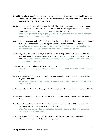- Nieto-Phillips, John. (2000). Spanish American Ethnic Identity and New Mexico's Statehood Struggle. In Erlinda Gonzales-Berry and David R. Maciel, The Contested Homeland: A Chicano History of New Mexico. University of New Mexico Press.
- Noe-Bustamante Luis, Ana Gonzalez-Barrera, Khadijah Edwards, Lauren Mora, and Mark Hugo Lopez. (2021, November 4). Majority of Latinos say skin color impacts opportunity in America and shapes daily life. Pew Research Center. Retrieved April 20, 2022 from [https://www.pewresearch.org/hispanic/2021/11/04/majority-of-latinos-say-skin-color-impacts](https://www.pewresearch.org/hispanic/2021/11/04/majority-of-latinos-say-skin-color-impacts-opportunity-in-america-and-shapes-daily-life/)[opportunity-in-america-and-shapes-daily-life/.](https://www.pewresearch.org/hispanic/2021/11/04/majority-of-latinos-say-skin-color-impacts-opportunity-in-america-and-shapes-daily-life/)
- Office of Management and Budget. (1997). Revisions to the standards for the classification of the federal data on race and ethnicity*. Federal Register Notice*, Retrieved October 1, 2021 from [https://www.whitehouse.gov/wp-content/uploads/2017/11/Revisions-to-the-Standards-for](https://www.whitehouse.gov/wp-content/uploads/2017/11/Revisions-to-the-Standards-for-the-Classification-of-Federal-Data-on-Race-and-Ethnicity-October30-1997.pdf)[the-Classification-of-Federal-Data-on-Race-and-Ethnicity-October30-1997.pdf.](https://www.whitehouse.gov/wp-content/uploads/2017/11/Revisions-to-the-Standards-for-the-Classification-of-Federal-Data-on-Race-and-Ethnicity-October30-1997.pdf)
- Parker, Kim, Juliana Menasce Horowitz, Rich Morin, and Mark Hugo Lopez. (2016, June 11). Chapter 1: Race and Multiracial Americans in the U.S. Census*. Pew Research Center*, Retrieved April 20, 2022 from [https://www.pewresearch.org/social-trends/2015/06/11/chapter-1-race-and-multiracial](https://www.pewresearch.org/social-trends/2015/06/11/chapter-1-race-and-multiracial-americans-in-the-u-s-census/)[americans-in-the-u-s-census/.](https://www.pewresearch.org/social-trends/2015/06/11/chapter-1-race-and-multiracial-americans-in-the-u-s-census/)
- *Public Law 94-311*, H.J. Resolution 92, 94th Congress (1976). [https://uscode.house.gov/statutes/pl/94/311.pdf?msclkid=9d0d6d33c0eb11eca313fedcd025cc](https://uscode.house.gov/statutes/pl/94/311.pdf?msclkid=9d0d6d33c0eb11eca313fedcd025cc92) [92](https://uscode.house.gov/statutes/pl/94/311.pdf?msclkid=9d0d6d33c0eb11eca313fedcd025cc92)
- SB-670 Mexican repatriation program of the 1930s. Apology Act for the 1930s Mexican Repatriation Program (2005-2006).

[https://leginfo.legislature.ca.gov/faces/billCompareClient.xhtml?bill\\_id=200520060SB670&sho](https://leginfo.legislature.ca.gov/faces/billCompareClient.xhtml?bill_id=200520060SB670&showamends=false) [wamends=false](https://leginfo.legislature.ca.gov/faces/billCompareClient.xhtml?bill_id=200520060SB670&showamends=false)

- Smith, Linda Tuhiwai. (1999). Decolonizing methodologies: Research and Indigenous Peoples. Sed Books Ltd.
- Torres-Saillant, Silvio and Nancy Kang. (2017). Race. *Keywords for Latina/o studies*. New York University Press.
- United States Census Bureau. (2021). *Race and ethnicity in the United States: 2010 census and 2020 census* [visualization]. Retrieved August 12, 2021 from [https://www.census.gov/library/visualizations/interactive/race-and-ethnicity-in-the-united](https://www.census.gov/library/visualizations/interactive/race-and-ethnicity-in-the-united-state-2010-and-2020-census.html)[state-2010-and-2020-census.html.](https://www.census.gov/library/visualizations/interactive/race-and-ethnicity-in-the-united-state-2010-and-2020-census.html)
- Valenzuela, Angela. (2016*). Growing critically conscious teachers: A social justice curriculum for educators of Latino/a youth*. Teachers College Press.